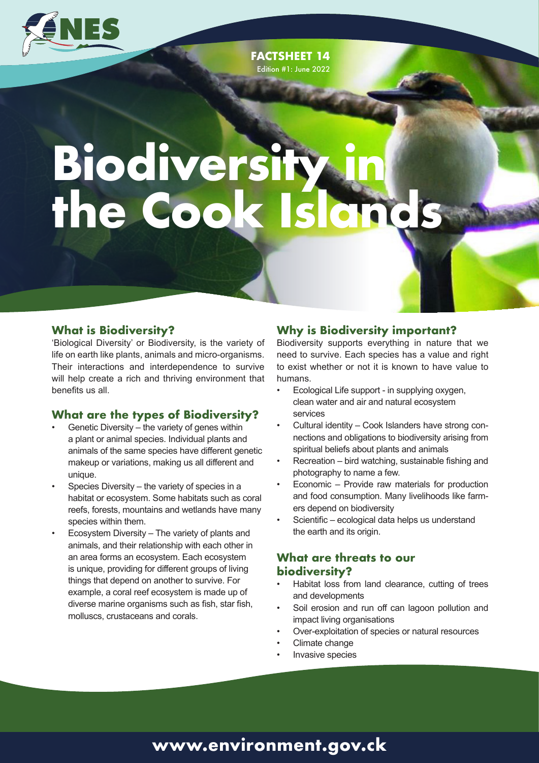

**FACTSHEET 14** Edition #1: June 2022

# **BIOGIVERSITY & ine Cook Isla Biodiversity in the Cook Islands**

#### **What is Biodiversity?**

'Biological Diversity' or Biodiversity, is the variety of life on earth like plants, animals and micro-organisms. Their interactions and interdependence to survive will help create a rich and thriving environment that benefits us all.

#### **What are the types of Biodiversity?**

- Genetic Diversity the variety of genes within a plant or animal species. Individual plants and animals of the same species have different genetic makeup or variations, making us all different and unique.
- Species Diversity the variety of species in a habitat or ecosystem. Some habitats such as coral reefs, forests, mountains and wetlands have many species within them.
- Ecosystem Diversity The variety of plants and animals, and their relationship with each other in an area forms an ecosystem. Each ecosystem is unique, providing for different groups of living things that depend on another to survive. For example, a coral reef ecosystem is made up of diverse marine organisms such as fish, star fish, molluscs, crustaceans and corals.

#### **Why is Biodiversity important?**

Biodiversity supports everything in nature that we need to survive. Each species has a value and right to exist whether or not it is known to have value to humans.

**FACTSHEET 14**

- Ecological Life support in supplying oxygen, clean water and air and natural ecosystem services
- Cultural identity Cook Islanders have strong connections and obligations to biodiversity arising from spiritual beliefs about plants and animals
- Recreation bird watching, sustainable fishing and photography to name a few.
- Economic Provide raw materials for production and food consumption. Many livelihoods like farmers depend on biodiversity
- Scientific ecological data helps us understand the earth and its origin.

### **What are threats to our biodiversity?**

- Habitat loss from land clearance, cutting of trees and developments
- Soil erosion and run off can lagoon pollution and impact living organisations
- Over-exploitation of species or natural resources
- Climate change
- Invasive species

# **www.environment.gov.ck**